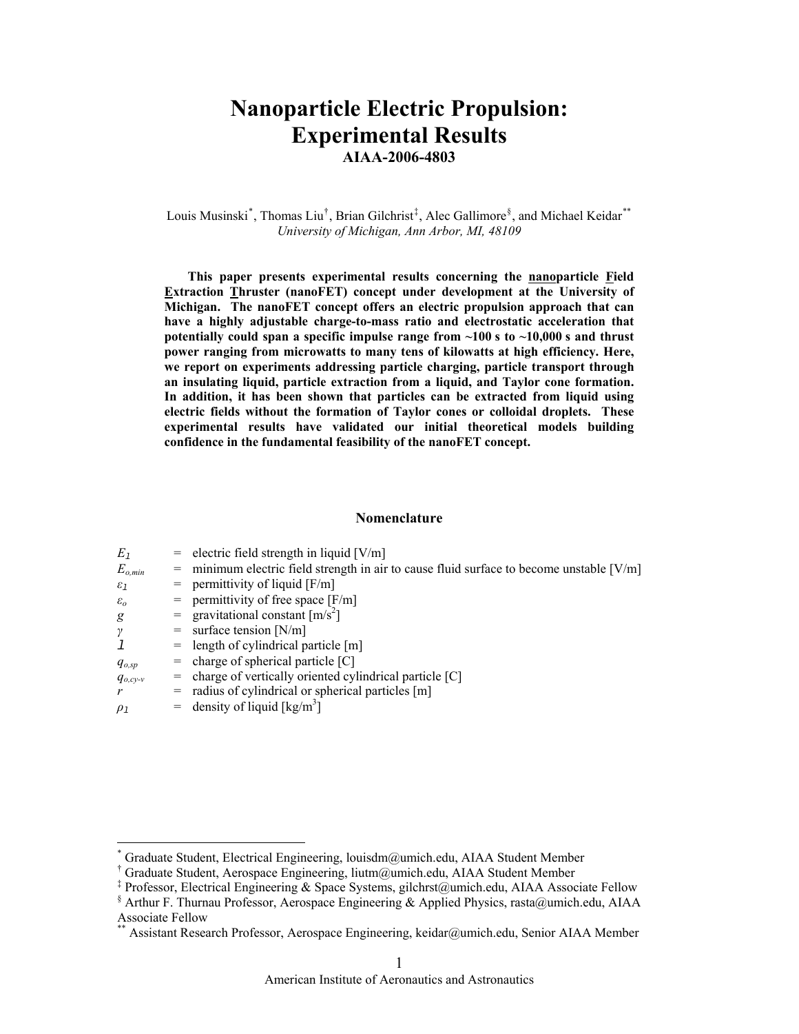# **Nanoparticle Electric Propulsion: Experimental Results**

**AIAA-2006-4803** 

Louis Musinski<sup>[\\*](#page-0-0)</sup>, Thomas Liu<sup>[†](#page-0-1)</sup>, Brian Gilchrist<sup>[‡](#page-0-2)</sup>, Alec Gallimore<sup>[§](#page-0-3)</sup>, and Michael Keidar<sup>[\\*\\*](#page-0-4)</sup> *University of Michigan, Ann Arbor, MI, 48109* 

**This paper presents experimental results concerning the nanoparticle Field Extraction Thruster (nanoFET) concept under development at the University of Michigan. The nanoFET concept offers an electric propulsion approach that can have a highly adjustable charge-to-mass ratio and electrostatic acceleration that potentially could span a specific impulse range from ~100 s to ~10,000 s and thrust power ranging from microwatts to many tens of kilowatts at high efficiency. Here, we report on experiments addressing particle charging, particle transport through an insulating liquid, particle extraction from a liquid, and Taylor cone formation. In addition, it has been shown that particles can be extracted from liquid using electric fields without the formation of Taylor cones or colloidal droplets. These experimental results have validated our initial theoretical models building confidence in the fundamental feasibility of the nanoFET concept.** 

# **Nomenclature**

| $E_1$             |     | $=$ electric field strength in liquid [V/m]                                            |
|-------------------|-----|----------------------------------------------------------------------------------------|
| $E_{o,min}$       | $=$ | minimum electric field strength in air to cause fluid surface to become unstable [V/m] |
| $\varepsilon_1$   | $=$ | permittivity of liquid $[F/m]$                                                         |
| $\varepsilon_{o}$ | $=$ | permittivity of free space $[F/m]$                                                     |
| g                 |     | = gravitational constant $\lceil m/s^2 \rceil$                                         |
| $\gamma$          |     | $=$ surface tension [N/m]                                                              |
| 1                 |     | $=$ length of cylindrical particle [m]                                                 |
| $q_{o,sp}$        | $=$ | charge of spherical particle [C]                                                       |
| $q_{o,cy-v}$      | =   | charge of vertically oriented cylindrical particle [C]                                 |
| r                 | $=$ | radius of cylindrical or spherical particles [m]                                       |
| $\rho_1$          | $=$ | density of liquid $\lceil \text{kg/m}^3 \rceil$                                        |
|                   |     |                                                                                        |
|                   |     |                                                                                        |

 $\overline{a}$ 

<span id="page-0-0"></span><sup>\*</sup> Graduate Student, Electrical Engineering, louisdm@umich.edu, AIAA Student Member

<span id="page-0-1"></span><sup>†</sup> Graduate Student, Aerospace Engineering, liutm@umich.edu, AIAA Student Member

<sup>‡</sup> Professor, Electrical Engineering & Space Systems, gilchrst@umich.edu, AIAA Associate Fellow

<span id="page-0-4"></span><span id="page-0-3"></span><span id="page-0-2"></span><sup>§</sup> Arthur F. Thurnau Professor, Aerospace Engineering & Applied Physics, rasta@umich.edu, AIAA Associate Fellow

<sup>\*\*</sup> Assistant Research Professor, Aerospace Engineering, keidar@umich.edu, Senior AIAA Member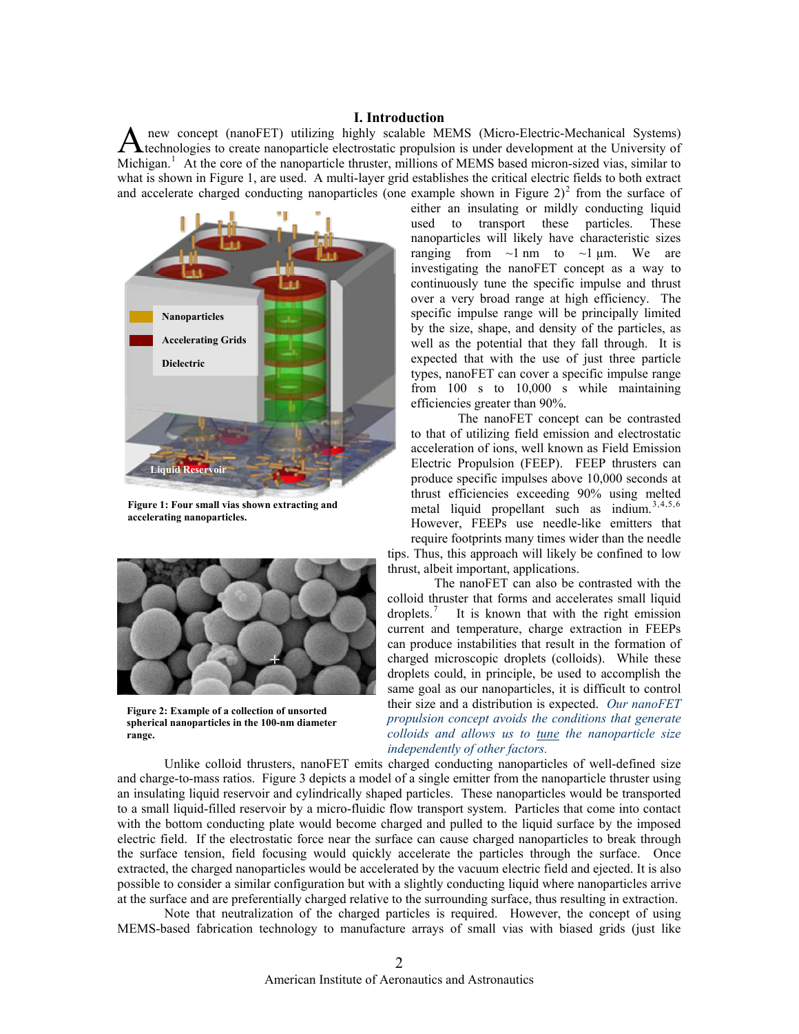# **I. Introduction**

 new concept (nanoFET) utilizing highly scalable MEMS (Micro-Electric-Mechanical Systems) technologies to create nanoparticle electrostatic propulsion is under development at the University of A new concept (nanoFET) utilizing highly scalable MEMS (Micro-Electric-Mechanical Systems)<br>technologies to create nanoparticle electrostatic propulsion is under development at the University of<br>Michigan.<sup>[1](#page-11-0)</sup> At the core of what is shown in Figure 1, are used. A multi-layer grid establishes the critical electric fields to both extract and accelerate charged conducting nanoparticles (one example shown in Figure  $2)^2$  $2)^2$  from the surface of



**Figure 1: Four small vias shown extracting and accelerating nanoparticles.**



**Figure 2: Example of a collection of unsorted spherical nanoparticles in the 100-nm diameter range.** 

either an insulating or mildly conducting liquid used to transport these particles. These nanoparticles will likely have characteristic sizes ranging from  $\sim$ 1 nm to  $\sim$ 1 µm. We are investigating the nanoFET concept as a way to continuously tune the specific impulse and thrust over a very broad range at high efficiency. The specific impulse range will be principally limited by the size, shape, and density of the particles, as well as the potential that they fall through. It is expected that with the use of just three particle types, nanoFET can cover a specific impulse range from 100 s to 10,000 s while maintaining efficiencies greater than 90%.

The nanoFET concept can be contrasted to that of utilizing field emission and electrostatic acceleration of ions, well known as Field Emission Electric Propulsion (FEEP). FEEP thrusters can produce specific impulses above 10,000 seconds at thrust efficiencies exceeding 90% using melted metal liquid propellant such as indium.<sup>[3](#page-11-1),4,5,[6](#page-11-1)</sup> However, FEEPs use needle-like emitters that require footprints many times wider than the needle

tips. Thus, this approach will likely be confined to low thrust, albeit important, applications.

The nanoFET can also be contrasted with the colloid thruster that forms and accelerates small liquid droplets.[7](#page-11-1) It is known that with the right emission current and temperature, charge extraction in FEEPs can produce instabilities that result in the formation of charged microscopic droplets (colloids). While these droplets could, in principle, be used to accomplish the same goal as our nanoparticles, it is difficult to control their size and a distribution is expected. *Our nanoFET propulsion concept avoids the conditions that generate colloids and allows us to tune the nanoparticle size independently of other factors.* 

Unlike colloid thrusters, nanoFET emits charged conducting nanoparticles of well-defined size and charge-to-mass ratios. Figure 3 depicts a model of a single emitter from the nanoparticle thruster using an insulating liquid reservoir and cylindrically shaped particles. These nanoparticles would be transported to a small liquid-filled reservoir by a micro-fluidic flow transport system. Particles that come into contact with the bottom conducting plate would become charged and pulled to the liquid surface by the imposed electric field. If the electrostatic force near the surface can cause charged nanoparticles to break through the surface tension, field focusing would quickly accelerate the particles through the surface. Once extracted, the charged nanoparticles would be accelerated by the vacuum electric field and ejected. It is also possible to consider a similar configuration but with a slightly conducting liquid where nanoparticles arrive at the surface and are preferentially charged relative to the surrounding surface, thus resulting in extraction.

Note that neutralization of the charged particles is required. However, the concept of using MEMS-based fabrication technology to manufacture arrays of small vias with biased grids (just like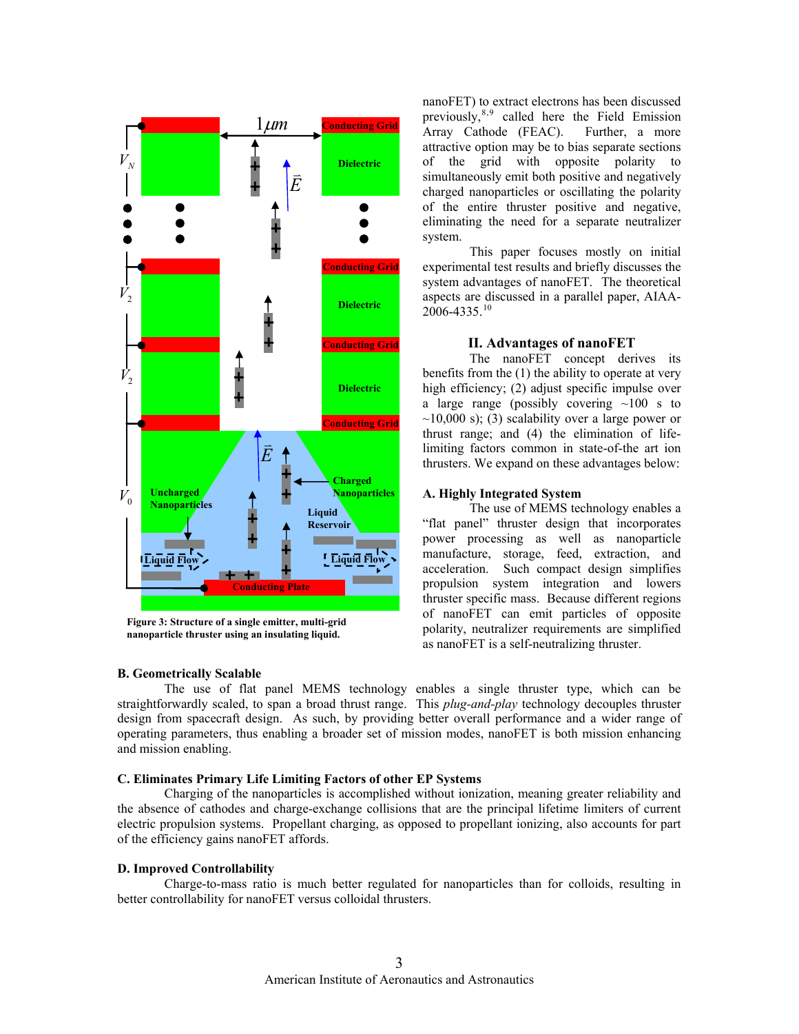

**Figure 3: Structure of a single emitter, multi-grid nanoparticle thruster using an insulating liquid.**

#### **B. Geometrically Scalable**

The use of flat panel MEMS technology enables a single thruster type, which can be straightforwardly scaled, to span a broad thrust range. This *plug-and-play* technology decouples thruster design from spacecraft design. As such, by providing better overall performance and a wider range of operating parameters, thus enabling a broader set of mission modes, nanoFET is both mission enhancing and mission enabling.

#### **C. Eliminates Primary Life Limiting Factors of other EP Systems**

Charging of the nanoparticles is accomplished without ionization, meaning greater reliability and the absence of cathodes and charge-exchange collisions that are the principal lifetime limiters of current electric propulsion systems. Propellant charging, as opposed to propellant ionizing, also accounts for part of the efficiency gains nanoFET affords.

# **D. Improved Controllability**

Charge-to-mass ratio is much better regulated for nanoparticles than for colloids, resulting in better controllability for nanoFET versus colloidal thrusters.

nanoFET) to extract electrons has been discussed previously,  $8.9$  $8.9$  $8.9$  called here the Field Emission Array Cathode (FEAC). Further, a more attractive option may be to bias separate sections of the grid with opposite polarity to simultaneously emit both positive and negatively charged nanoparticles or oscillating the polarity of the entire thruster positive and negative, eliminating the need for a separate neutralizer system.

This paper focuses mostly on initial experimental test results and briefly discusses the system advantages of nanoFET. The theoretical aspects are discussed in a parallel paper, AIAA- $2006 - 4335$ <sup>[10](#page-11-1)</sup>

#### **II. Advantages of nanoFET**

The nanoFET concept derives its benefits from the (1) the ability to operate at very high efficiency; (2) adjust specific impulse over a large range (possibly covering  $\sim 100$  s to  $\sim$ 10,000 s); (3) scalability over a large power or thrust range; and (4) the elimination of lifelimiting factors common in state-of-the art ion thrusters. We expand on these advantages below:

### **A. Highly Integrated System**

The use of MEMS technology enables a "flat panel" thruster design that incorporates power processing as well as nanoparticle manufacture, storage, feed, extraction, and acceleration. Such compact design simplifies propulsion system integration and lowers thruster specific mass. Because different regions of nanoFET can emit particles of opposite polarity, neutralizer requirements are simplified as nanoFET is a self-neutralizing thruster.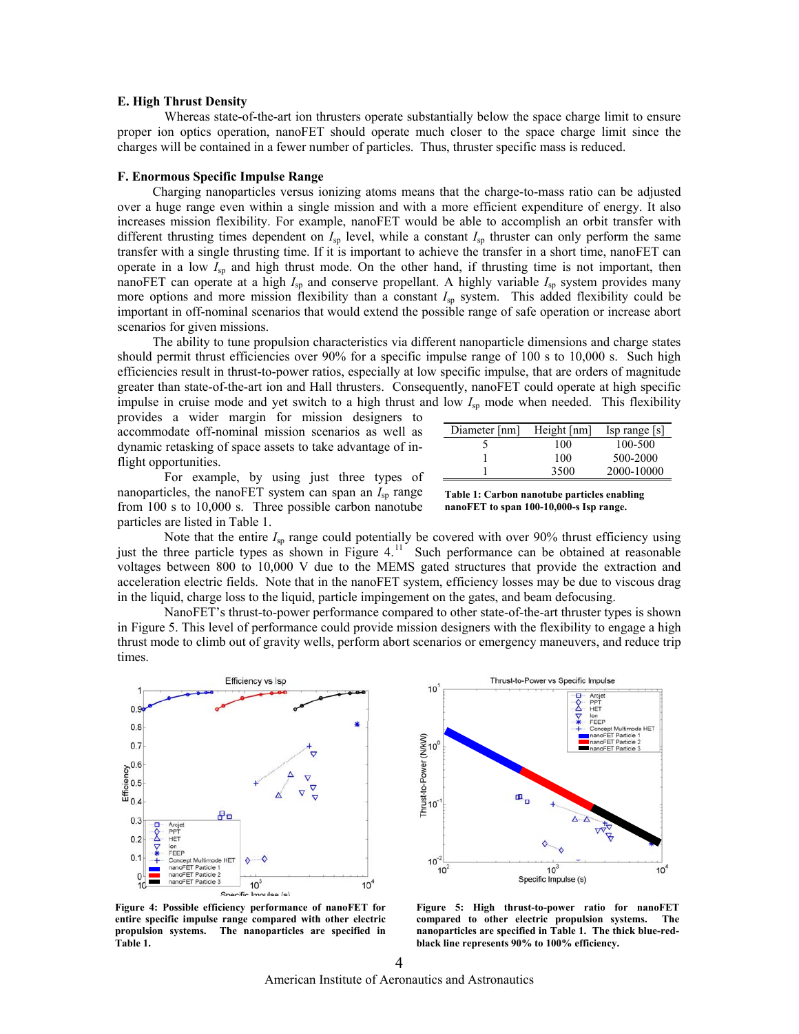#### **E. High Thrust Density**

Whereas state-of-the-art ion thrusters operate substantially below the space charge limit to ensure proper ion optics operation, nanoFET should operate much closer to the space charge limit since the charges will be contained in a fewer number of particles. Thus, thruster specific mass is reduced.

#### **F. Enormous Specific Impulse Range**

Charging nanoparticles versus ionizing atoms means that the charge-to-mass ratio can be adjusted over a huge range even within a single mission and with a more efficient expenditure of energy. It also increases mission flexibility. For example, nanoFET would be able to accomplish an orbit transfer with different thrusting times dependent on  $I_{sp}$  level, while a constant  $I_{sp}$  thruster can only perform the same transfer with a single thrusting time. If it is important to achieve the transfer in a short time, nanoFET can operate in a low  $I_{\rm SD}$  and high thrust mode. On the other hand, if thrusting time is not important, then nanoFET can operate at a high  $I_{sp}$  and conserve propellant. A highly variable  $I_{sp}$  system provides many more options and more mission flexibility than a constant  $I_{sp}$  system. This added flexibility could be important in off-nominal scenarios that would extend the possible range of safe operation or increase abort scenarios for given missions.

The ability to tune propulsion characteristics via different nanoparticle dimensions and charge states should permit thrust efficiencies over 90% for a specific impulse range of 100 s to 10,000 s. Such high efficiencies result in thrust-to-power ratios, especially at low specific impulse, that are orders of magnitude greater than state-of-the-art ion and Hall thrusters. Consequently, nanoFET could operate at high specific impulse in cruise mode and yet switch to a high thrust and low  $I_{sp}$  mode when needed. This flexibility

provides a wider margin for mission designers to accommodate off-nominal mission scenarios as well as dynamic retasking of space assets to take advantage of inflight opportunities.

| Diameter [nm] | Height $[nm]$ | Isp range  s |
|---------------|---------------|--------------|
|               | 100           | 100-500      |
|               | 100           | 500-2000     |
|               | 3500          | 2000-10000   |

For example, by using just three types of nanoparticles, the nanoFET system can span an  $I_{\rm{sp}}$  range from 100 s to 10,000 s. Three possible carbon nanotube particles are listed in Table 1.

| Table 1: Carbon nanotube particles enabling |
|---------------------------------------------|
| nanoFET to span 100-10,000-s Isp range.     |

Note that the entire *I*<sub>sp</sub> range could potentially be covered with over 90% thrust efficiency using just the three particle types as shown in Figure  $4<sup>11</sup>$  $4<sup>11</sup>$  $4<sup>11</sup>$  Such performance can be obtained at reasonable voltages between 800 to 10,000 V due to the MEMS gated structures that provide the extraction and acceleration electric fields. Note that in the nanoFET system, efficiency losses may be due to viscous drag in the liquid, charge loss to the liquid, particle impingement on the gates, and beam defocusing.

NanoFET's thrust-to-power performance compared to other state-of-the-art thruster types is shown in Figure 5. This level of performance could provide mission designers with the flexibility to engage a high thrust mode to climb out of gravity wells, perform abort scenarios or emergency maneuvers, and reduce trip times.





**Figure 4: Possible efficiency performance of nanoFET for entire specific impulse range compared with other electric propulsion systems. The nanoparticles are specified in Table 1.**

**Figure 5: High thrust-to-power ratio for nanoFET compared to other electric propulsion systems. The nanoparticles are specified in Table 1. The thick blue-redblack line represents 90% to 100% efficiency.**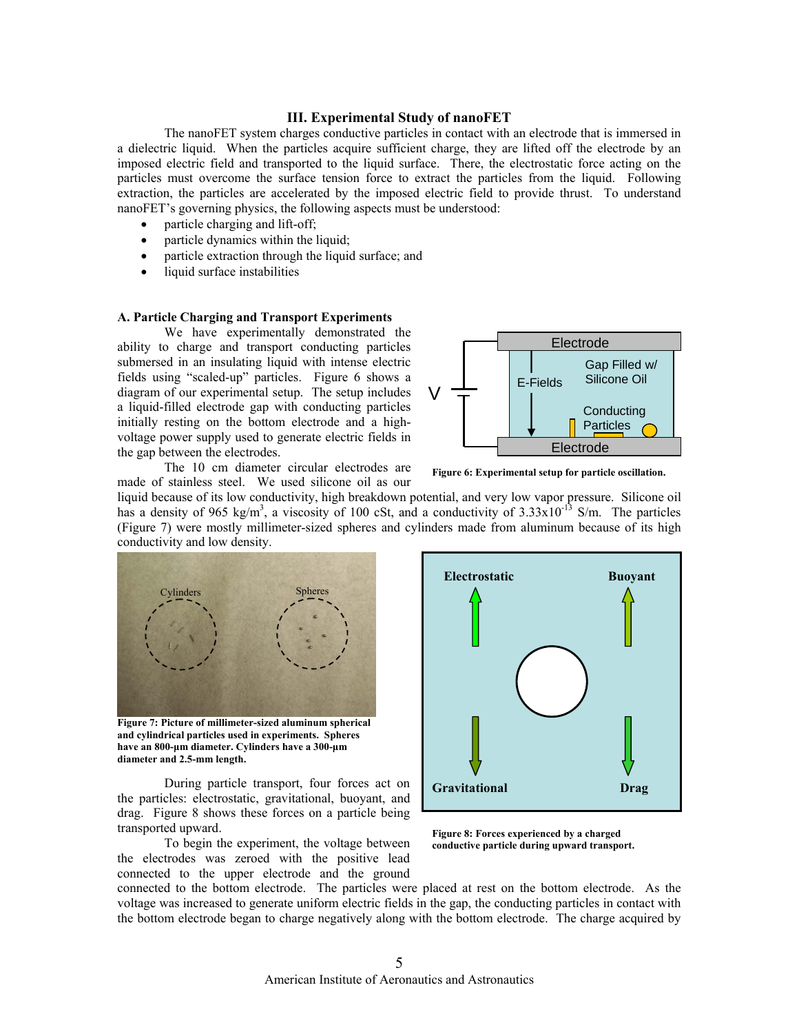# **III. Experimental Study of nanoFET**

The nanoFET system charges conductive particles in contact with an electrode that is immersed in a dielectric liquid. When the particles acquire sufficient charge, they are lifted off the electrode by an imposed electric field and transported to the liquid surface. There, the electrostatic force acting on the particles must overcome the surface tension force to extract the particles from the liquid. Following extraction, the particles are accelerated by the imposed electric field to provide thrust. To understand nanoFET's governing physics, the following aspects must be understood:

- particle charging and lift-off;
- particle dynamics within the liquid;
- particle extraction through the liquid surface; and
- liquid surface instabilities

#### **A. Particle Charging and Transport Experiments**

We have experimentally demonstrated the ability to charge and transport conducting particles submersed in an insulating liquid with intense electric fields using "scaled-up" particles. Figure 6 shows a diagram of our experimental setup. The setup includes a liquid-filled electrode gap with conducting particles initially resting on the bottom electrode and a highvoltage power supply used to generate electric fields in the gap between the electrodes.



 The 10 cm diameter circular electrodes are made of stainless steel. We used silicone oil as our

**Figure 6: Experimental setup for particle oscillation.** 

liquid because of its low conductivity, high breakdown potential, and very low vapor pressure. Silicone oil has a density of 965 kg/m<sup>3</sup>, a viscosity of 100 cSt, and a conductivity of  $3.33 \times 10^{-13}$  S/m. The particles (Figure 7) were mostly millimeter-sized spheres and cylinders made from aluminum because of its high conductivity and low density.



**Figure 7: Picture of millimeter-sized aluminum spherical and cylindrical particles used in experiments. Spheres have an 800-μm diameter. Cylinders have a 300-μm diameter and 2.5-mm length.** 

 During particle transport, four forces act on the particles: electrostatic, gravitational, buoyant, and drag. Figure 8 shows these forces on a particle being transported upward.

 To begin the experiment, the voltage between the electrodes was zeroed with the positive lead connected to the upper electrode and the ground



**Figure 8: Forces experienced by a charged conductive particle during upward transport.** 

connected to the bottom electrode. The particles were placed at rest on the bottom electrode. As the voltage was increased to generate uniform electric fields in the gap, the conducting particles in contact with the bottom electrode began to charge negatively along with the bottom electrode. The charge acquired by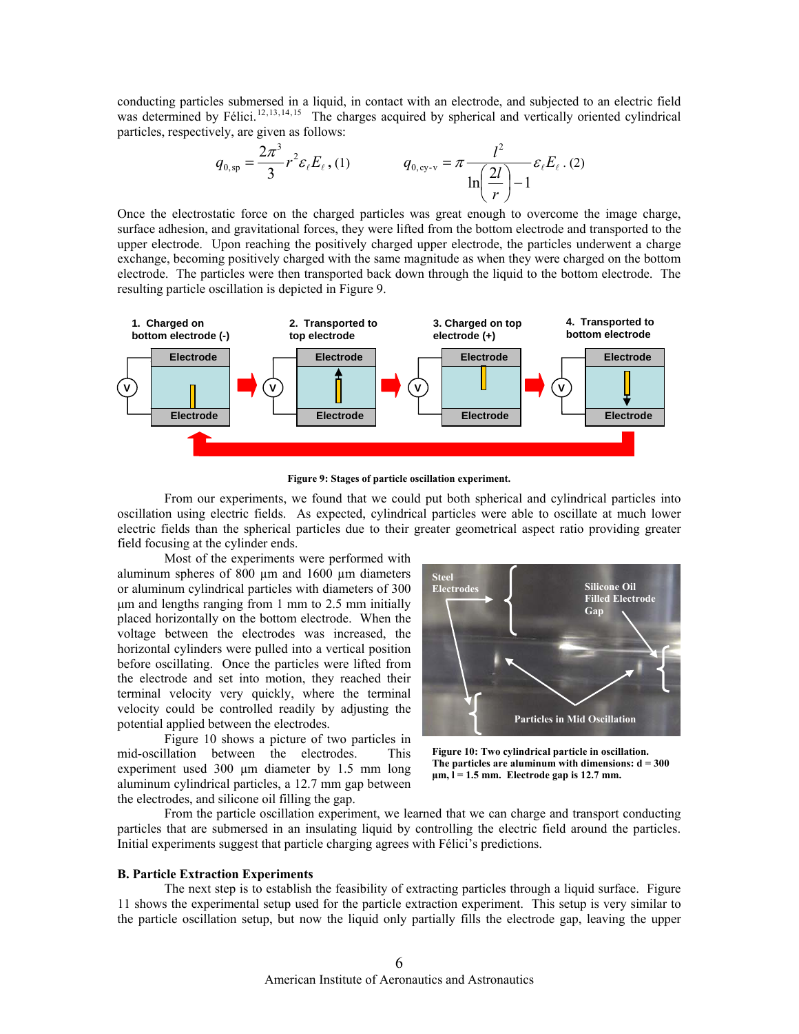conducting particles submersed in a liquid, in contact with an electrode, and subjected to an electric field was determined by Félici.<sup>[12](#page-11-1), 13, 14, [15](#page-11-1)</sup> The charges acquired by spherical and vertically oriented cylindrical particles, respectively, are given as follows:

$$
q_{0,\rm{sp}} = \frac{2\pi^3}{3} r^2 \varepsilon_{\ell} E_{\ell}, (1) \qquad \qquad q_{0,\rm{cy-v}} = \pi \frac{l^2}{\ln\left(\frac{2l}{r}\right) - 1} \varepsilon_{\ell} E_{\ell}. (2)
$$

Once the electrostatic force on the charged particles was great enough to overcome the image charge, surface adhesion, and gravitational forces, they were lifted from the bottom electrode and transported to the upper electrode. Upon reaching the positively charged upper electrode, the particles underwent a charge exchange, becoming positively charged with the same magnitude as when they were charged on the bottom electrode. The particles were then transported back down through the liquid to the bottom electrode. The resulting particle oscillation is depicted in Figure 9.



**Figure 9: Stages of particle oscillation experiment.** 

From our experiments, we found that we could put both spherical and cylindrical particles into oscillation using electric fields. As expected, cylindrical particles were able to oscillate at much lower electric fields than the spherical particles due to their greater geometrical aspect ratio providing greater field focusing at the cylinder ends.

Most of the experiments were performed with aluminum spheres of 800  $\mu$ m and 1600  $\mu$ m diameters or aluminum cylindrical particles with diameters of 300 μm and lengths ranging from 1 mm to 2.5 mm initially placed horizontally on the bottom electrode. When the voltage between the electrodes was increased, the horizontal cylinders were pulled into a vertical position before oscillating. Once the particles were lifted from the electrode and set into motion, they reached their terminal velocity very quickly, where the terminal velocity could be controlled readily by adjusting the potential applied between the electrodes.

Figure 10 shows a picture of two particles in mid-oscillation between the electrodes. This experiment used 300 μm diameter by 1.5 mm long aluminum cylindrical particles, a 12.7 mm gap between the electrodes, and silicone oil filling the gap.



**Figure 10: Two cylindrical particle in oscillation. The particles are aluminum with dimensions: d = 300 μm, l = 1.5 mm. Electrode gap is 12.7 mm.** 

From the particle oscillation experiment, we learned that we can charge and transport conducting particles that are submersed in an insulating liquid by controlling the electric field around the particles. Initial experiments suggest that particle charging agrees with Félici's predictions.

#### **B. Particle Extraction Experiments**

The next step is to establish the feasibility of extracting particles through a liquid surface. Figure 11 shows the experimental setup used for the particle extraction experiment. This setup is very similar to the particle oscillation setup, but now the liquid only partially fills the electrode gap, leaving the upper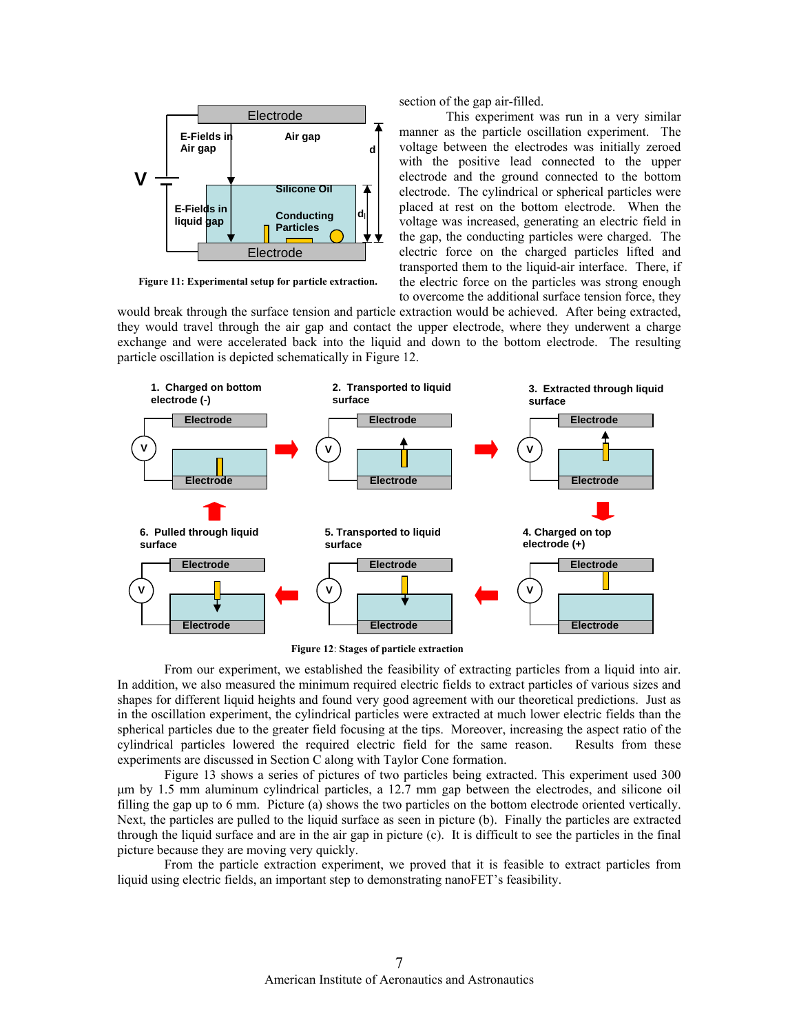

**Figure 11: Experimental setup for particle extraction.**

section of the gap air-filled.

 This experiment was run in a very similar manner as the particle oscillation experiment. The voltage between the electrodes was initially zeroed with the positive lead connected to the upper electrode and the ground connected to the bottom electrode. The cylindrical or spherical particles were placed at rest on the bottom electrode. When the voltage was increased, generating an electric field in the gap, the conducting particles were charged. The electric force on the charged particles lifted and transported them to the liquid-air interface. There, if the electric force on the particles was strong enough to overcome the additional surface tension force, they

would break through the surface tension and particle extraction would be achieved. After being extracted, they would travel through the air gap and contact the upper electrode, where they underwent a charge exchange and were accelerated back into the liquid and down to the bottom electrode. The resulting particle oscillation is depicted schematically in Figure 12.



**Figure 12**: **Stages of particle extraction** 

From our experiment, we established the feasibility of extracting particles from a liquid into air. In addition, we also measured the minimum required electric fields to extract particles of various sizes and shapes for different liquid heights and found very good agreement with our theoretical predictions. Just as in the oscillation experiment, the cylindrical particles were extracted at much lower electric fields than the spherical particles due to the greater field focusing at the tips. Moreover, increasing the aspect ratio of the cylindrical particles lowered the required electric field for the same reason. Results from these experiments are discussed in Section C along with Taylor Cone formation.

Figure 13 shows a series of pictures of two particles being extracted. This experiment used 300 μm by 1.5 mm aluminum cylindrical particles, a 12.7 mm gap between the electrodes, and silicone oil filling the gap up to 6 mm. Picture (a) shows the two particles on the bottom electrode oriented vertically. Next, the particles are pulled to the liquid surface as seen in picture (b). Finally the particles are extracted through the liquid surface and are in the air gap in picture (c). It is difficult to see the particles in the final picture because they are moving very quickly.

From the particle extraction experiment, we proved that it is feasible to extract particles from liquid using electric fields, an important step to demonstrating nanoFET's feasibility.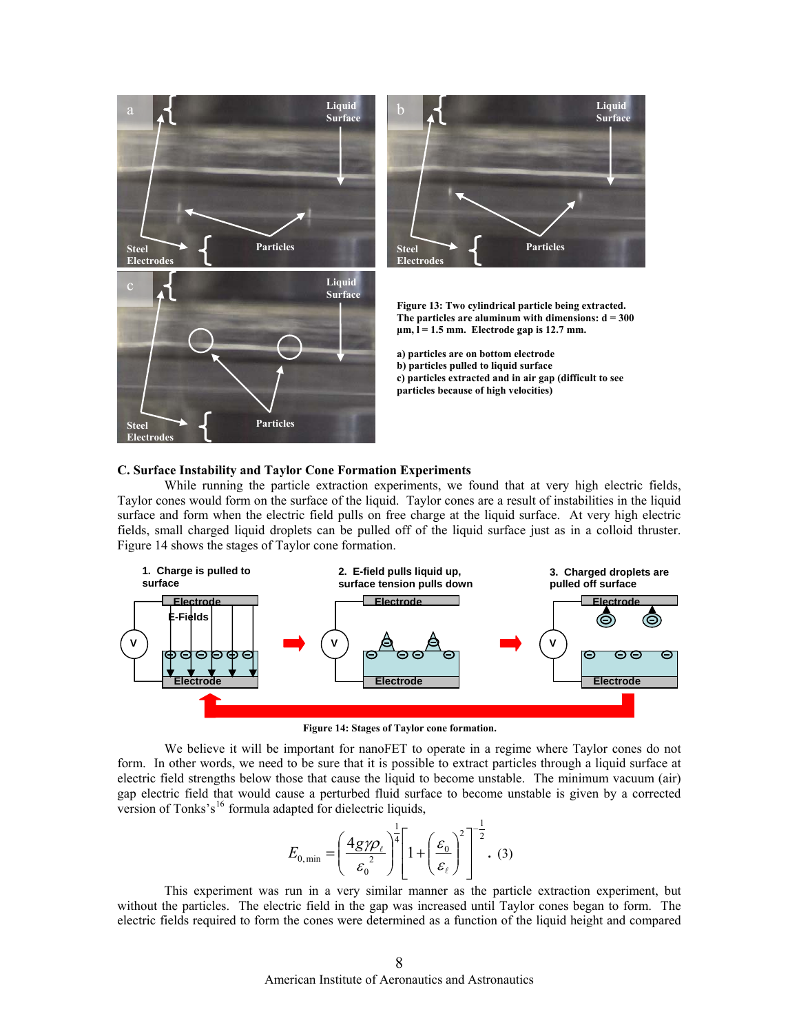



**Figure 13: Two cylindrical particle being extracted. The particles are aluminum with dimensions: d = 300**   $\mu$ m,  $\bar{l}$  = 1.5 mm. Electrode gap is 12.7 mm.

**a) particles are on bottom electrode b) particles pulled to liquid surface c) particles extracted and in air gap (difficult to see particles because of high velocities)** 

#### **C. Surface Instability and Taylor Cone Formation Experiments**

While running the particle extraction experiments, we found that at very high electric fields, Taylor cones would form on the surface of the liquid. Taylor cones are a result of instabilities in the liquid surface and form when the electric field pulls on free charge at the liquid surface. At very high electric fields, small charged liquid droplets can be pulled off of the liquid surface just as in a colloid thruster. Figure 14 shows the stages of Taylor cone formation.



**Figure 14: Stages of Taylor cone formation.**

We believe it will be important for nanoFET to operate in a regime where Taylor cones do not form. In other words, we need to be sure that it is possible to extract particles through a liquid surface at electric field strengths below those that cause the liquid to become unstable. The minimum vacuum (air) gap electric field that would cause a perturbed fluid surface to become unstable is given by a corrected version of Tonks's<sup>[16](#page-11-1)</sup> formula adapted for dielectric liquids,

$$
E_{0,\min} = \left(\frac{4g\gamma\rho_{\ell}}{\varepsilon_0^2}\right)^{\frac{1}{4}} \left[1 + \left(\frac{\varepsilon_0}{\varepsilon_{\ell}}\right)^2\right]^{-\frac{1}{2}}.\tag{3}
$$

<span id="page-7-0"></span>This experiment was run in a very similar manner as the particle extraction experiment, but without the particles. The electric field in the gap was increased until Taylor cones began to form. The electric fields required to form the cones were determined as a function of the liquid height and compared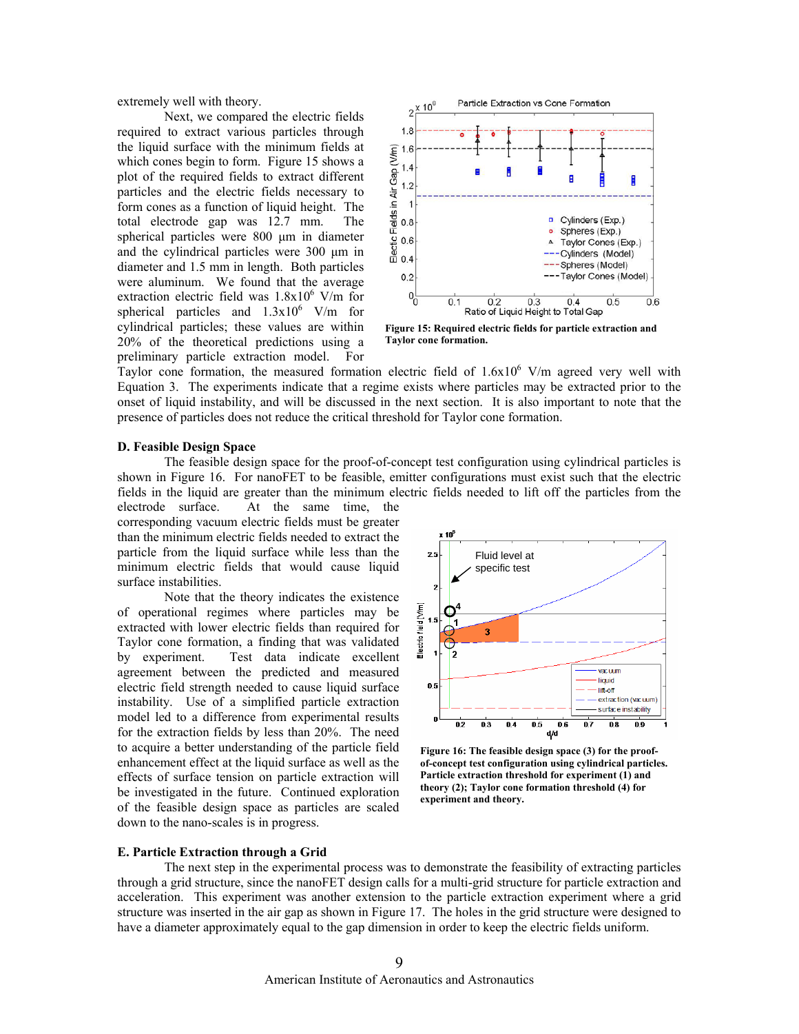extremely well with theory.

 Next, we compared the electric fields required to extract various particles through the liquid surface with the minimum fields at which cones begin to form. Figure 15 shows a plot of the required fields to extract different particles and the electric fields necessary to form cones as a function of liquid height. The total electrode gap was 12.7 mm. The spherical particles were 800 μm in diameter and the cylindrical particles were 300 μm in diameter and 1.5 mm in length. Both particles were aluminum. We found that the average extraction electric field was  $1.8 \times 10^6$  V/m for spherical particles and  $1.3x10^6$  V/m for cylindrical particles; these values are within 20% of the theoretical predictions using a preliminary particle extraction model. For



**Figure 15: Required electric fields for particle extraction and Taylor cone formation.** 

Taylor cone formation, the measured formation electric field of  $1.6x10^6$  V/m agreed very well with Equation [3.](#page-7-0) The experiments indicate that a regime exists where particles may be extracted prior to the onset of liquid instability, and will be discussed in the next section. It is also important to note that the presence of particles does not reduce the critical threshold for Taylor cone formation.

#### **D. Feasible Design Space**

The feasible design space for the proof-of-concept test configuration using cylindrical particles is shown in Figure 16. For nanoFET to be feasible, emitter configurations must exist such that the electric fields in the liquid are greater than the minimum electric fields needed to lift off the particles from the

electrode surface. At the same time, the corresponding vacuum electric fields must be greater than the minimum electric fields needed to extract the particle from the liquid surface while less than the minimum electric fields that would cause liquid surface instabilities.

Note that the theory indicates the existence of operational regimes where particles may be extracted with lower electric fields than required for Taylor cone formation, a finding that was validated by experiment. Test data indicate excellent agreement between the predicted and measured electric field strength needed to cause liquid surface instability. Use of a simplified particle extraction model led to a difference from experimental results for the extraction fields by less than 20%. The need to acquire a better understanding of the particle field enhancement effect at the liquid surface as well as the effects of surface tension on particle extraction will be investigated in the future. Continued exploration of the feasible design space as particles are scaled down to the nano-scales is in progress.



**Figure 16: The feasible design space (3) for the proofof-concept test configuration using cylindrical particles. Particle extraction threshold for experiment (1) and theory (2); Taylor cone formation threshold (4) for experiment and theory.** 

#### **E. Particle Extraction through a Grid**

 The next step in the experimental process was to demonstrate the feasibility of extracting particles through a grid structure, since the nanoFET design calls for a multi-grid structure for particle extraction and acceleration. This experiment was another extension to the particle extraction experiment where a grid structure was inserted in the air gap as shown in Figure 17. The holes in the grid structure were designed to have a diameter approximately equal to the gap dimension in order to keep the electric fields uniform.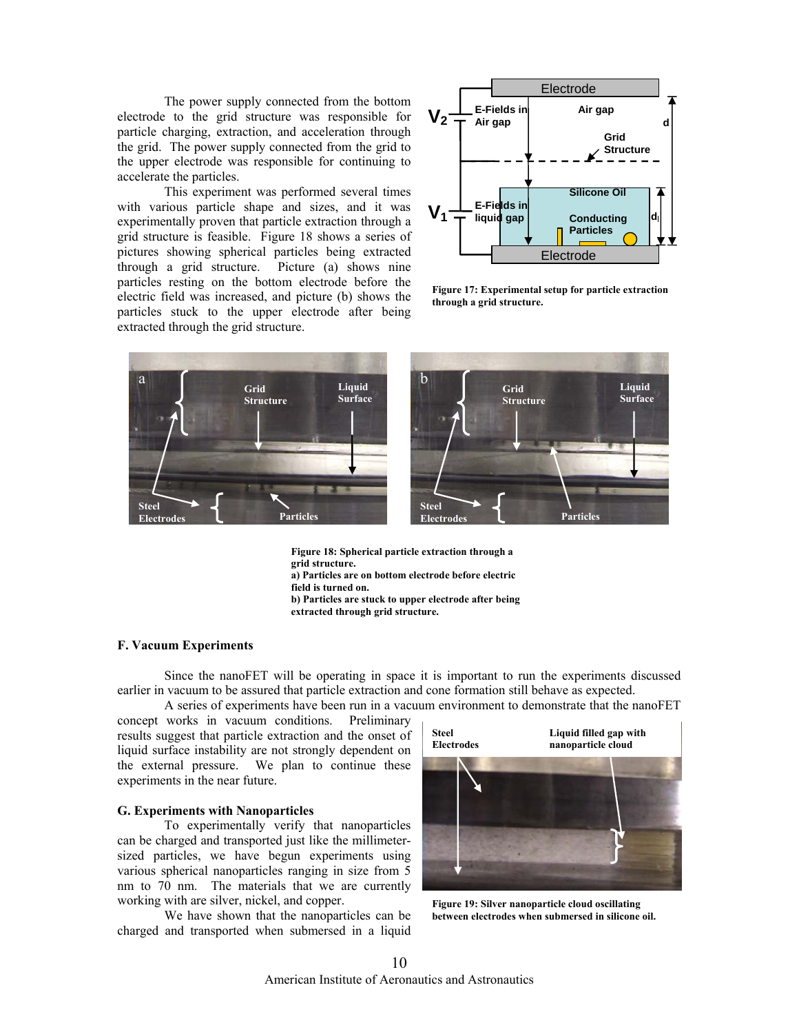The power supply connected from the bottom electrode to the grid structure was responsible for particle charging, extraction, and acceleration through the grid. The power supply connected from the grid to the upper electrode was responsible for continuing to accelerate the particles.

 This experiment was performed several times with various particle shape and sizes, and it was experimentally proven that particle extraction through a grid structure is feasible. Figure 18 shows a series of pictures showing spherical particles being extracted through a grid structure. Picture (a) shows nine particles resting on the bottom electrode before the electric field was increased, and picture (b) shows the particles stuck to the upper electrode after being extracted through the grid structure.



**Figure 17: Experimental setup for particle extraction through a grid structure.** 



**Figure 18: Spherical particle extraction through a grid structure. a) Particles are on bottom electrode before electric field is turned on. b) Particles are stuck to upper electrode after being extracted through grid structure.** 

# **F. Vacuum Experiments**

Since the nanoFET will be operating in space it is important to run the experiments discussed earlier in vacuum to be assured that particle extraction and cone formation still behave as expected.

A series of experiments have been run in a vacuum environment to demonstrate that the nanoFET

concept works in vacuum conditions. Preliminary results suggest that particle extraction and the onset of liquid surface instability are not strongly dependent on the external pressure. We plan to continue these experiments in the near future.

# **G. Experiments with Nanoparticles**

To experimentally verify that nanoparticles can be charged and transported just like the millimetersized particles, we have begun experiments using various spherical nanoparticles ranging in size from 5 nm to 70 nm. The materials that we are currently working with are silver, nickel, and copper.

We have shown that the nanoparticles can be charged and transported when submersed in a liquid



**Figure 19: Silver nanoparticle cloud oscillating between electrodes when submersed in silicone oil.**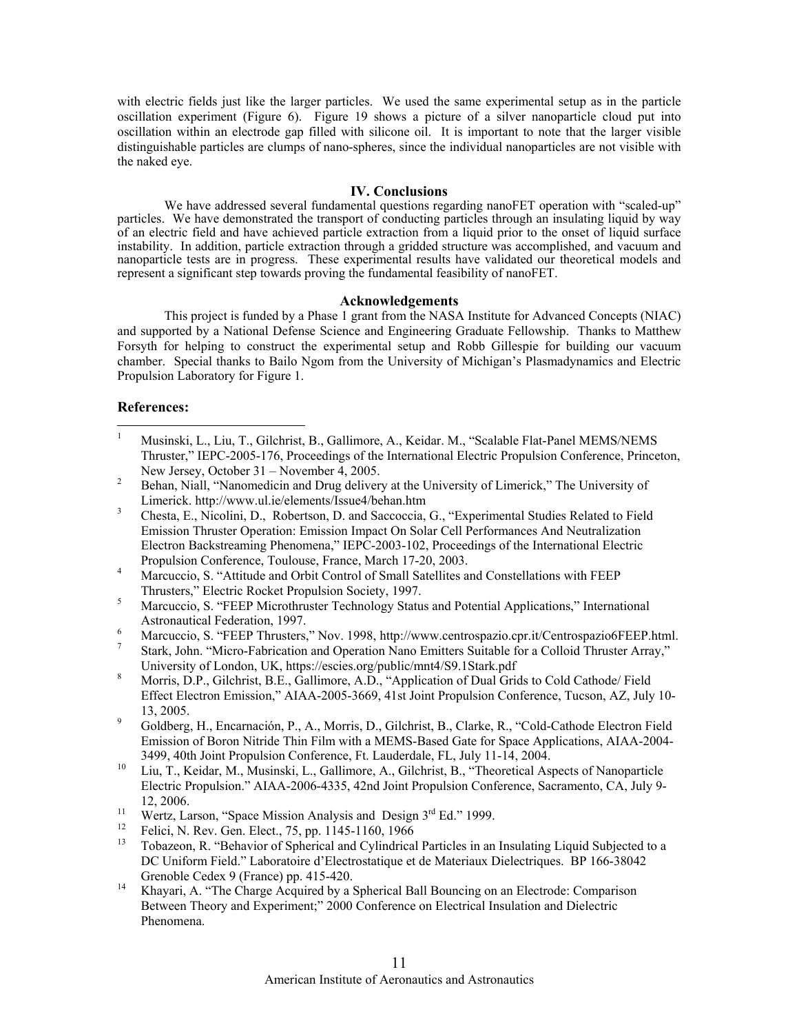with electric fields just like the larger particles. We used the same experimental setup as in the particle oscillation experiment (Figure 6). Figure 19 shows a picture of a silver nanoparticle cloud put into oscillation within an electrode gap filled with silicone oil. It is important to note that the larger visible distinguishable particles are clumps of nano-spheres, since the individual nanoparticles are not visible with the naked eye.

# **IV. Conclusions**

We have addressed several fundamental questions regarding nanoFET operation with "scaled-up" particles. We have demonstrated the transport of conducting particles through an insulating liquid by way of an electric field and have achieved particle extraction from a liquid prior to the onset of liquid surface instability. In addition, particle extraction through a gridded structure was accomplished, and vacuum and nanoparticle tests are in progress. These experimental results have validated our theoretical models and represent a significant step towards proving the fundamental feasibility of nanoFET.

# **Acknowledgements**

 This project is funded by a Phase 1 grant from the NASA Institute for Advanced Concepts (NIAC) and supported by a National Defense Science and Engineering Graduate Fellowship. Thanks to Matthew Forsyth for helping to construct the experimental setup and Robb Gillespie for building our vacuum chamber. Special thanks to Bailo Ngom from the University of Michigan's Plasmadynamics and Electric Propulsion Laboratory for Figure 1.

# **References:**

- $\frac{1}{1}$  Musinski, L., Liu, T., Gilchrist, B., Gallimore, A., Keidar. M., "Scalable Flat-Panel MEMS/NEMS Thruster," IEPC-2005-176, Proceedings of the International Electric Propulsion Conference, Princeton, New Jersey, October  $31 - \text{November } 4, 2005$ .
- Behan, Niall, "Nanomedicin and Drug delivery at the University of Limerick," The University of Limerick. http://www.ul.ie/elements/Issue4/behan.htm
- Chesta, E., Nicolini, D., Robertson, D. and Saccoccia, G., "Experimental Studies Related to Field Emission Thruster Operation: Emission Impact On Solar Cell Performances And Neutralization Electron Backstreaming Phenomena," IEPC-2003-102, Proceedings of the International Electric Propulsion Conference, Toulouse, France, March 17-20, 2003.
- Marcuccio, S. "Attitude and Orbit Control of Small Satellites and Constellations with FEEP Thrusters," Electric Rocket Propulsion Society, 1997.
- Marcuccio, S. "FEEP Microthruster Technology Status and Potential Applications," International Astronautical Federation, 1997.
- Marcuccio, S. "FEEP Thrusters," Nov. 1998, [http://www.centrospazio.cpr.it/Centrospazio6FEEP.html.](http://www.centrospazio.cpr.it/Centrospazio6FEEP.html)
- Stark, John. "Micro-Fabrication and Operation Nano Emitters Suitable for a Colloid Thruster Array," University of London, UK,<https://escies.org/public/mnt4/S9.1Stark.pdf><br>8 March D.P. Gildwict, D.E. Galliway, A.D. "Anglictica a Charl Grid
- Morris, D.P., Gilchrist, B.E., Gallimore, A.D., "Application of Dual Grids to Cold Cathode/ Field Effect Electron Emission," AIAA-2005-3669, 41st Joint Propulsion Conference, Tucson, AZ, July 10-  $13, 2005.$
- Goldberg, H., Encarnación, P., A., Morris, D., Gilchrist, B., Clarke, R., "Cold-Cathode Electron Field Emission of Boron Nitride Thin Film with a MEMS-Based Gate for Space Applications, AIAA-2004-
- 3499, 40th Joint Propulsion Conference, Ft. Lauderdale, FL, July 11-14, 2004.<br><sup>10</sup> Liu, T., Keidar, M., Musinski, L., Gallimore, A., Gilchrist, B., "Theoretical Aspects of Nanoparticle Electric Propulsion." AIAA-2006-4335, 42nd Joint Propulsion Conference, Sacramento, CA, July 9-
- 12, 2006.<br>
<sup>11</sup> Wertz, Larson, "Space Mission Analysis and Design 3<sup>rd</sup> Ed." 1999.<br>
<sup>12</sup> Felici, N. Rev. Gen. Elect., 75, pp. 1145-1160, 1966
- 
- 13 Tobazeon, R. "Behavior of Spherical and Cylindrical Particles in an Insulating Liquid Subjected to a DC Uniform Field." Laboratoire d'Electrostatique et de Materiaux Dielectriques. BP 166-38042 Grenoble Cedex 9 (France) pp. 415-420.<br><sup>14</sup> Khayari, A. "The Charge Acquired by a Spherical Ball Bouncing on an Electrode: Comparison
- Between Theory and Experiment;" 2000 Conference on Electrical Insulation and Dielectric Phenomena.